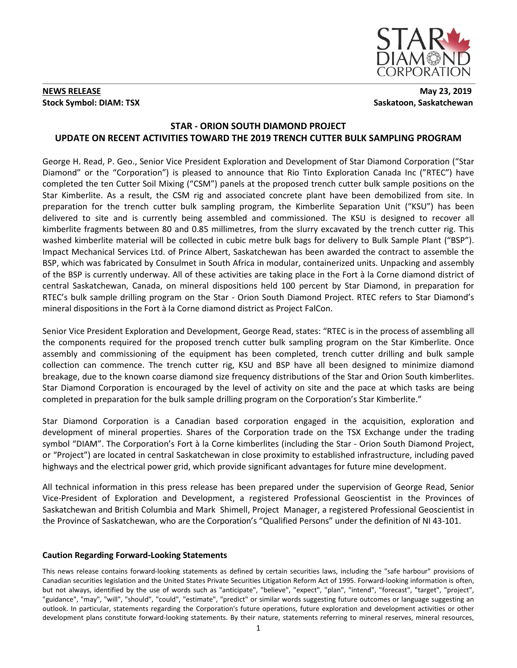

## **NEWS RELEASE** May 23, 2019 **Stock Symbol: DIAM: TSX** Saskatoon, Saskatchewan

# **STAR - ORION SOUTH DIAMOND PROJECT UPDATE ON RECENT ACTIVITIES TOWARD THE 2019 TRENCH CUTTER BULK SAMPLING PROGRAM**

George H. Read, P. Geo., Senior Vice President Exploration and Development of Star Diamond Corporation ("Star Diamond" or the "Corporation") is pleased to announce that Rio Tinto Exploration Canada Inc ("RTEC") have completed the ten Cutter Soil Mixing ("CSM") panels at the proposed trench cutter bulk sample positions on the Star Kimberlite. As a result, the CSM rig and associated concrete plant have been demobilized from site. In preparation for the trench cutter bulk sampling program, the Kimberlite Separation Unit ("KSU") has been delivered to site and is currently being assembled and commissioned. The KSU is designed to recover all kimberlite fragments between 80 and 0.85 millimetres, from the slurry excavated by the trench cutter rig. This washed kimberlite material will be collected in cubic metre bulk bags for delivery to Bulk Sample Plant ("BSP"). Impact Mechanical Services Ltd. of Prince Albert, Saskatchewan has been awarded the contract to assemble the BSP, which was fabricated by Consulmet in South Africa in modular, containerized units. Unpacking and assembly of the BSP is currently underway. All of these activities are taking place in the Fort à la Corne diamond district of central Saskatchewan, Canada, on mineral dispositions held 100 percent by Star Diamond, in preparation for RTEC's bulk sample drilling program on the Star - Orion South Diamond Project. RTEC refers to Star Diamond's mineral dispositions in the Fort à la Corne diamond district as Project FalCon.

Senior Vice President Exploration and Development, George Read, states: "RTEC is in the process of assembling all the components required for the proposed trench cutter bulk sampling program on the Star Kimberlite. Once assembly and commissioning of the equipment has been completed, trench cutter drilling and bulk sample collection can commence. The trench cutter rig, KSU and BSP have all been designed to minimize diamond breakage, due to the known coarse diamond size frequency distributions of the Star and Orion South kimberlites. Star Diamond Corporation is encouraged by the level of activity on site and the pace at which tasks are being completed in preparation for the bulk sample drilling program on the Corporation's Star Kimberlite."

Star Diamond Corporation is a Canadian based corporation engaged in the acquisition, exploration and development of mineral properties. Shares of the Corporation trade on the TSX Exchange under the trading symbol "DIAM". The Corporation's Fort à la Corne kimberlites (including the Star - Orion South Diamond Project, or "Project") are located in central Saskatchewan in close proximity to established infrastructure, including paved highways and the electrical power grid, which provide significant advantages for future mine development.

All technical information in this press release has been prepared under the supervision of George Read, Senior Vice-President of Exploration and Development, a registered Professional Geoscientist in the Provinces of Saskatchewan and British Columbia and Mark Shimell, Project Manager, a registered Professional Geoscientist in the Province of Saskatchewan, who are the Corporation's "Qualified Persons" under the definition of NI 43-101.

## **Caution Regarding Forward-Looking Statements**

This news release contains forward-looking statements as defined by certain securities laws, including the "safe harbour" provisions of Canadian securities legislation and the United States Private Securities Litigation Reform Act of 1995. Forward-looking information is often, but not always, identified by the use of words such as "anticipate", "believe", "expect", "plan", "intend", "forecast", "target", "project", "guidance", "may", "will", "should", "could", "estimate", "predict" or similar words suggesting future outcomes or language suggesting an outlook. In particular, statements regarding the Corporation's future operations, future exploration and development activities or other development plans constitute forward-looking statements. By their nature, statements referring to mineral reserves, mineral resources,